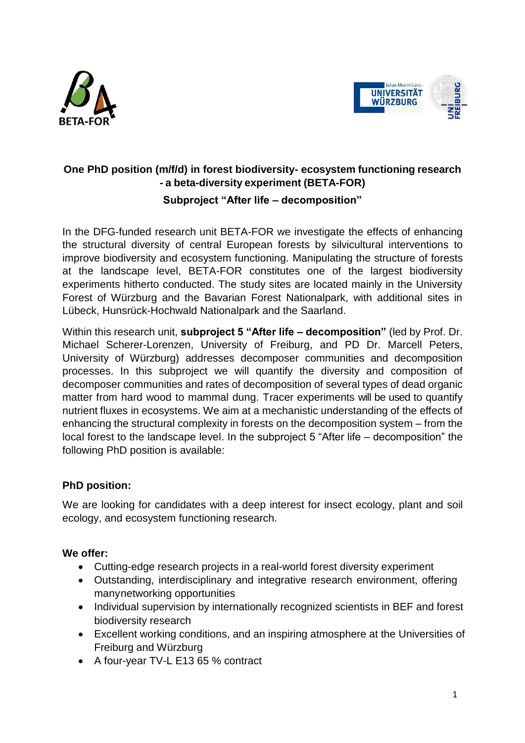



## **One PhD position (m/f/d) in forest biodiversity- ecosystem functioning research - a beta-diversity experiment (BETA-FOR) Subproject "After life – decomposition"**

In the DFG-funded research unit BETA-FOR we investigate the effects of enhancing the structural diversity of central European forests by silvicultural interventions to improve biodiversity and ecosystem functioning. Manipulating the structure of forests at the landscape level, BETA-FOR constitutes one of the largest biodiversity experiments hitherto conducted. The study sites are located mainly in the University Forest of Würzburg and the Bavarian Forest Nationalpark, with additional sites in Lübeck, Hunsrück-Hochwald Nationalpark and the Saarland.

Within this research unit, **subproject 5 "After life – decomposition"** (led by Prof. Dr. Michael Scherer-Lorenzen, University of Freiburg, and PD Dr. Marcell Peters, University of Würzburg) addresses decomposer communities and decomposition processes. In this subproject we will quantify the diversity and composition of decomposer communities and rates of decomposition of several types of dead organic matter from hard wood to mammal dung. Tracer experiments will be used to quantify nutrient fluxes in ecosystems. We aim at a mechanistic understanding of the effects of enhancing the structural complexity in forests on the decomposition system – from the local forest to the landscape level. In the subproject 5 "After life – decomposition" the following PhD position is available:

## **PhD position:**

We are looking for candidates with a deep interest for insect ecology, plant and soil ecology, and ecosystem functioning research.

## **We offer:**

- Cutting-edge research projects in a real-world forest diversity experiment
- Outstanding, interdisciplinary and integrative research environment, offering manynetworking opportunities
- Individual supervision by internationally recognized scientists in BEF and forest biodiversity research
- Excellent working conditions, and an inspiring atmosphere at the Universities of Freiburg and Würzburg
- A four-year TV-L E13 65 % contract